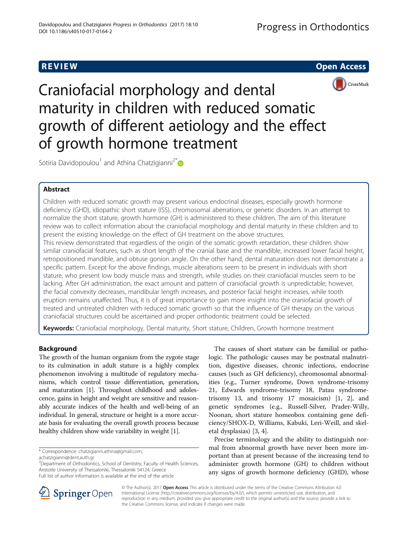**REVIEW CONSTRUCTION CONSTRUCTION CONSTRUCTS** 



Craniofacial morphology and dental maturity in children with reduced somatic growth of different aetiology and the effect of growth hormone treatment

Sotiria Davidopoulou<sup>1</sup> and Athina Chatzigianni<sup>2[\\*](http://orcid.org/0000-0001-7114-689X)</sup>

# Abstract

Children with reduced somatic growth may present various endocrinal diseases, especially growth hormone deficiency (GHD), idiopathic short stature (ISS), chromosomal aberrations, or genetic disorders. In an attempt to normalize the short stature, growth hormone (GH) is administered to these children. The aim of this literature review was to collect information about the craniofacial morphology and dental maturity in these children and to present the existing knowledge on the effect of GH treatment on the above structures.

This review demonstrated that regardless of the origin of the somatic growth retardation, these children show similar craniofacial features, such as short length of the cranial base and the mandible, increased lower facial height, retropositioned mandible, and obtuse gonion angle. On the other hand, dental maturation does not demonstrate a specific pattern. Except for the above findings, muscle alterations seem to be present in individuals with short stature, who present low body muscle mass and strength, while studies on their craniofacial muscles seem to be lacking. After GH administration, the exact amount and pattern of craniofacial growth is unpredictable; however, the facial convexity decreases, mandibular length increases, and posterior facial height increases, while tooth eruption remains unaffected. Thus, it is of great importance to gain more insight into the craniofacial growth of treated and untreated children with reduced somatic growth so that the influence of GH therapy on the various craniofacial structures could be ascertained and proper orthodontic treatment could be selected.

Keywords: Craniofacial morphology, Dental maturity, Short stature, Children, Growth hormone treatment

# Background

The growth of the human organism from the zygote stage to its culmination in adult stature is a highly complex phenomenon involving a multitude of regulatory mechanisms, which control tissue differentiation, generation, and maturation [[1\]](#page-6-0). Throughout childhood and adolescence, gains in height and weight are sensitive and reasonably accurate indices of the health and well-being of an individual. In general, structure or height is a more accurate basis for evaluating the overall growth process because healthy children show wide variability in weight [[1](#page-6-0)].

\* Correspondence: [chatzigianni.athina@gmail.com;](mailto:chatzigianni.athina@gmail.com)

[achatzigianni@dent.auth.gr](mailto:achatzigianni@dent.auth.gr)

<sup>2</sup>Department of Orthodontics, School of Dentistry, Faculty of Health Sciences, Aristotle University of Thessaloniki, Thessaloniki 54124, Greece Full list of author information is available at the end of the article

The causes of short stature can be familial or pathologic. The pathologic causes may be postnatal malnutrition, digestive diseases, chronic infections, endocrine causes (such as GH deficiency), chromosomal abnormalities (e.g., Turner syndrome, Down syndrome-trisomy 21, Edwards syndrome-trisomy 18, Patau syndrometrisomy 13, and trisomy 17 mosaicism) [[1, 2\]](#page-6-0), and genetic syndromes (e.g., Russell-Silver, Prader-Willy, Noonan, short stature homeobox containing gene deficiency/SHOX-D, Williams, Kabuki, Leri-Weill, and skeletal dysplasias) [[3, 4\]](#page-6-0).

Precise terminology and the ability to distinguish normal from abnormal growth have never been more important than at present because of the increasing tend to administer growth hormone (GH) to children without any signs of growth hormone deficiency (GHD), whose



© The Author(s). 2017 **Open Access** This article is distributed under the terms of the Creative Commons Attribution 4.0 International License ([http://creativecommons.org/licenses/by/4.0/\)](http://creativecommons.org/licenses/by/4.0/), which permits unrestricted use, distribution, and reproduction in any medium, provided you give appropriate credit to the original author(s) and the source, provide a link to the Creative Commons license, and indicate if changes were made.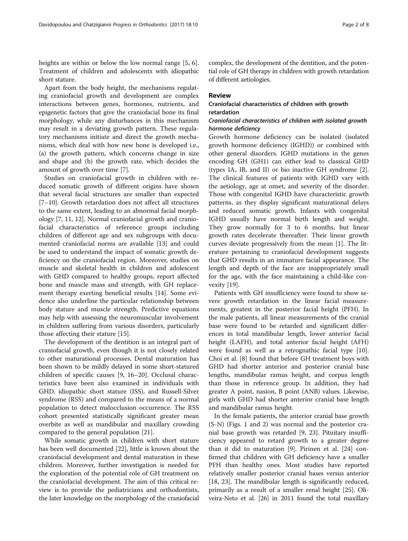heights are within or below the low normal range [[5, 6](#page-6-0)]. Treatment of children and adolescents with idiopathic short stature.

Apart from the body height, the mechanisms regulating craniofacial growth and development are complex interactions between genes, hormones, nutrients, and epigenetic factors that give the craniofacial bone its final morphology, while any disturbances in this mechanism may result in a deviating growth pattern. These regulatory mechanisms initiate and direct the growth mechanisms, which deal with how new bone is developed i.e., (a) the growth pattern, which concerns change in size and shape and (b) the growth rate, which decides the amount of growth over time [[7\]](#page-6-0).

Studies on craniofacial growth in children with reduced somatic growth of different origins have shown that several facial structures are smaller than expected [[7](#page-6-0)–[10\]](#page-6-0). Growth retardation does not affect all structures to the same extent, leading to an abnormal facial morphology [[7, 11](#page-6-0), [12](#page-6-0)]. Normal craniofacial growth and craniofacial characteristics of reference groups including children of different age and sex subgroups with documented craniofacial norms are available [[13](#page-6-0)] and could be used to understand the impact of somatic growth deficiency on the craniofacial region. Moreover, studies on muscle and skeletal health in children and adolescent with GHD compared to healthy groups, report affected bone and muscle mass and strength, with GH replacement therapy exerting beneficial results [[14\]](#page-6-0). Some evidence also underline the particular relationship between body stature and muscle strength. Predictive equations may help with assessing the neuromuscular involvement in children suffering from various disorders, particularly those affecting their stature [\[15](#page-6-0)].

The development of the dentition is an integral part of craniofacial growth, even though it is not closely related to other maturational processes. Dental maturation has been shown to be mildly delayed in some short-statured children of specific causes [[9, 16](#page-6-0)–[20\]](#page-6-0). Occlusal characteristics have been also examined in individuals with GHD, idiopathic short stature (ISS), and Russell-Silver syndrome (RSS) and compared to the means of a normal population to detect malocclusion occurrence. The RSS cohort presented statistically significant greater mean overbite as well as mandibular and maxillary crowding compared to the general population [[21\]](#page-6-0).

While somatic growth in children with short stature has been well documented [[22\]](#page-6-0), little is known about the craniofacial development and dental maturation in these children. Moreover, further investigation is needed for the exploration of the potential role of GH treatment on the craniofacial development. The aim of this critical review is to provide the pediatricians and orthodontists, the later knowledge on the morphology of the craniofacial complex, the development of the dentition, and the potential role of GH therapy in children with growth retardation of different aetiologies.

### Review

# Craniofacial characteristics of children with growth retardation

# Craniofacial characteristics of children with isolated growth hormone deficiency

Growth hormone deficiency can be isolated (isolated growth hormone deficiency (IGHD)) or combined with other general disorders. IGHD mutations in the genes encoding GH (GH1) can either lead to classical GHD (types IA, IB, and II) or bio inactive GH syndrome [\[2](#page-6-0)]. The clinical features of patients with IGHD vary with the aetiology, age at onset, and severity of the disorder. Those with congenital IGHD have characteristic growth patterns, as they display significant maturational delays and reduced somatic growth. Infants with congenital IGHD usually have normal birth length and weight. They grow normally for 3 to 6 months, but linear growth rates decelerate thereafter. Their linear growth curves deviate progressively from the mean [\[1\]](#page-6-0). The literature pertaining to craniofacial development suggests that GHD results in an immature facial appearance. The length and depth of the face are inappropriately small for the age, with the face maintaining a child-like convexity [[19](#page-6-0)].

Patients with GH insufficiency were found to show severe growth retardation in the linear facial measurements, greatest in the posterior facial height (PFH). In the male patients, all linear measurements of the cranial base were found to be retarded and significant differences in total mandibular length, lower anterior facial height (LAFH), and total anterior facial height (AFH) were found as well as a retrognathic facial type [\[10](#page-6-0)]. Choi et al. [\[8](#page-6-0)] found that before GH treatment boys with GHD had shorter anterior and posterior cranial base lengths, mandibular ramus height, and corpus length than those in reference group. In addition, they had greater A point, nasion, B point (ANB) values. Likewise, girls with GHD had shorter anterior cranial base length and mandibular ramus height.

In the female patients, the anterior cranial base growth (S-N) (Figs. [1](#page-2-0) and [2](#page-2-0)) was normal and the posterior cranial base growth was retarded [[9, 23](#page-6-0)]. Pituitary insufficiency appeared to retard growth to a greater degree than it did to maturation [\[9\]](#page-6-0). Pirinen et al. [\[24\]](#page-6-0) confirmed that children with GH deficiency have a smaller PFH than healthy ones. Most studies have reported relatively smaller posterior cranial bases versus anterior [[18, 23](#page-6-0)]. The mandibular length is significantly reduced, primarily as a result of a smaller renal height [\[25](#page-6-0)]. Oliveira-Neto et al. [\[26\]](#page-6-0) in 2011 found the total maxillary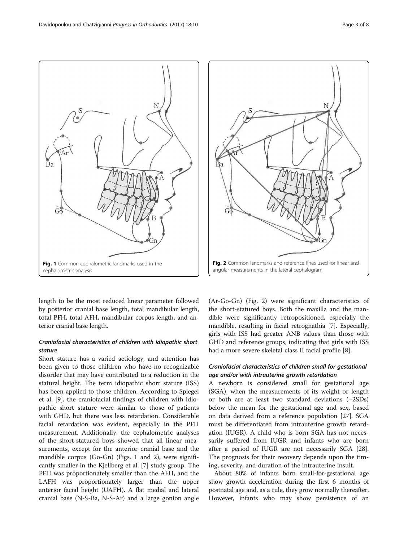<span id="page-2-0"></span>

length to be the most reduced linear parameter followed by posterior cranial base length, total mandibular length, total PFH, total AFH, mandibular corpus length, and anterior cranial base length.

# Craniofacial characteristics of children with idiopathic short stature

Short stature has a varied aetiology, and attention has been given to those children who have no recognizable disorder that may have contributed to a reduction in the statural height. The term idiopathic short stature (ISS) has been applied to those children. According to Spiegel et al. [[9\]](#page-6-0), the craniofacial findings of children with idiopathic short stature were similar to those of patients with GHD, but there was less retardation. Considerable facial retardation was evident, especially in the PFH measurement. Additionally, the cephalometric analyses of the short-statured boys showed that all linear measurements, except for the anterior cranial base and the mandible corpus (Go-Gn) (Figs. 1 and 2), were significantly smaller in the Kjellberg et al. [\[7\]](#page-6-0) study group. The PFH was proportionately smaller than the AFH, and the LAFH was proportionately larger than the upper anterior facial height (UAFH). A flat medial and lateral cranial base (N-S-Ba, N-S-Ar) and a large gonion angle



(Ar-Go-Gn) (Fig. 2) were significant characteristics of the short-statured boys. Both the maxilla and the mandible were significantly retropositioned, especially the mandible, resulting in facial retrognathia [\[7](#page-6-0)]. Especially, girls with ISS had greater ANB values than those with GHD and reference groups, indicating that girls with ISS had a more severe skeletal class II facial profile [[8](#page-6-0)].

# Craniofacial characteristics of children small for gestational age and/or with intrauterine growth retardation

A newborn is considered small for gestational age (SGA), when the measurements of its weight or length or both are at least two standard deviations (−2SDs) below the mean for the gestational age and sex, based on data derived from a reference population [\[27\]](#page-6-0). SGA must be differentiated from intrauterine growth retardation (IUGR). A child who is born SGA has not necessarily suffered from IUGR and infants who are born after a period of IUGR are not necessarily SGA [\[28](#page-6-0)]. The prognosis for their recovery depends upon the timing, severity, and duration of the intrauterine insult.

About 80% of infants born small-for-gestational age show growth acceleration during the first 6 months of postnatal age and, as a rule, they grow normally thereafter. However, infants who may show persistence of an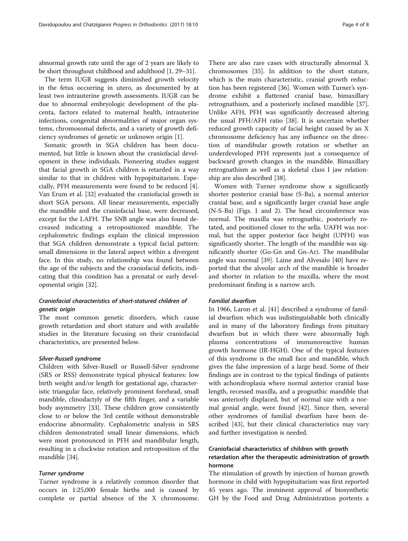abnormal growth rate until the age of 2 years are likely to be short throughout childhood and adulthood [\[1](#page-6-0), [29](#page-6-0)–[31\]](#page-6-0).

The term IUGR suggests diminished growth velocity in the fetus occurring in utero, as documented by at least two intrauterine growth assessments. IUGR can be due to abnormal embryologic development of the placenta, factors related to maternal health, intrauterine infections, congenital abnormalities of major organ systems, chromosomal defects, and a variety of growth deficiency syndromes of genetic or unknown origin [\[1](#page-6-0)].

Somatic growth in SGA children has been documented, but little is known about the craniofacial development in these individuals. Pioneering studies suggest that facial growth in SGA children is retarded in a way similar to that in children with hypopituitarism. Especially, PFH measurements were found to be reduced [\[4](#page-6-0)]. Van Erum et al. [\[32](#page-6-0)] evaluated the craniofacial growth in short SGA persons. All linear measurements, especially the mandible and the craniofacial base, were decreased, except for the LAFH. The SNB angle was also found decreased indicating a retropositioned mandible. The cephalometric findings explain the clinical impression that SGA children demonstrate a typical facial pattern: small dimensions in the lateral aspect within a divergent face. In this study, no relationship was found between the age of the subjects and the craniofacial deficits, indicating that this condition has a prenatal or early developmental origin [\[32](#page-6-0)].

# Craniofacial characteristics of short-statured children of genetic origin

The most common genetic disorders, which cause growth retardation and short stature and with available studies in the literature focusing on their craniofacial characteristics, are presented below.

#### Silver-Russell syndrome

Children with Silver-Rusell or Russell-Silver syndrome (SRS or RSS) demonstrate typical physical features: low birth weight and/or length for gestational age, characteristic triangular face, relatively prominent forehead, small mandible, clinodactyly of the fifth finger, and a variable body asymmetry [[33](#page-6-0)]. These children grow consistently close to or below the 3rd centile without demonstrable endocrine abnormality. Cephalometric analysis in SRS children demonstrated small linear dimensions, which were most pronounced in PFH and mandibular length, resulting in a clockwise rotation and retroposition of the mandible [[34](#page-6-0)].

### Turner syndrome

Turner syndrome is a relatively common disorder that occurs in 1:25,000 female births and is caused by complete or partial absence of the X chromosome. There are also rare cases with structurally abnormal X chromosomes [\[35](#page-6-0)]. In addition to the short stature, which is the main characteristic, cranial growth reduction has been registered [\[36](#page-6-0)]. Women with Turner's syndrome exhibit a flattened cranial base, bimaxillary retrognathism, and a posteriorly inclined mandible [\[37](#page-6-0)]. Unlike AFH, PFH was significantly decreased altering the usual PFH/AFH ratio [[38](#page-6-0)]. It is uncertain whether reduced growth capacity of facial height caused by an X chromosome deficiency has any influence on the direction of mandibular growth rotation or whether an underdeveloped PFH represents just a consequence of backward growth changes in the mandible. Bimaxillary retrognathism as well as a skeletal class I jaw relationship are also described [[38](#page-6-0)].

Women with Turner syndrome show a significantly shorter posterior cranial base (S-Ba), a normal anterior cranial base, and a significantly larger cranial base angle (N-S-Ba) (Figs. [1](#page-2-0) and [2\)](#page-2-0). The head circumference was normal. The maxilla was retrognathic, posteriorly rotated, and positioned closer to the sella. UAFH was normal, but the upper posterior face height (UPFH) was significantly shorter. The length of the mandible was significantly shorter (Go-Gn and Gn-Ar). The mandibular angle was normal [\[39](#page-6-0)]. Laine and Alvesalo [\[40](#page-6-0)] have reported that the alveolar arch of the mandible is broader and shorter in relation to the maxilla, where the most predominant finding is a narrow arch.

#### Familial dwarfism

In 1966, Laron et al. [[41\]](#page-6-0) described a syndrome of familial dwarfism which was indistinguishable both clinically and in many of the laboratory findings from pituitary dwarfism but in which there were abnormally high plasma concentrations of immunoreactive human growth hormone (IR-HGH). One of the typical features of this syndrome is the small face and mandible, which gives the false impression of a large head. Some of their findings are in contrast to the typical findings of patients with achondroplasia where normal anterior cranial base length, recessed maxilla, and a prognathic mandible that was anteriorly displaced, but of normal size with a normal gonial angle, were found [[42\]](#page-6-0). Since then, several other syndromes of familial dwarfism have been described [[43\]](#page-6-0), but their clinical characteristics may vary and further investigation is needed.

# Craniofacial characteristics of children with growth retardation after the therapeutic administration of growth hormone

The stimulation of growth by injection of human growth hormone in child with hypopituitarism was first reported 45 years ago. The imminent approval of biosynthetic GH by the Food and Drug Administration portents a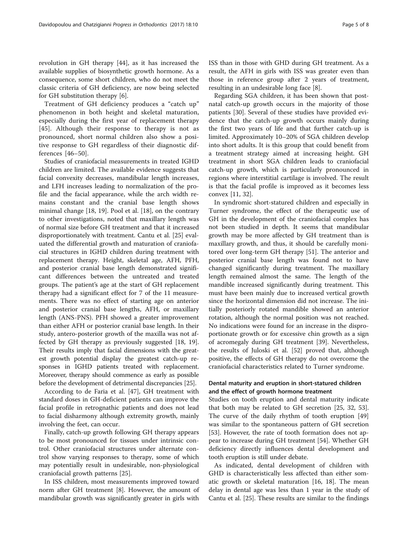revolution in GH therapy [[44](#page-6-0)], as it has increased the available supplies of biosynthetic growth hormone. As a consequence, some short children, who do not meet the classic criteria of GH deficiency, are now being selected for GH substitution therapy [\[6](#page-6-0)].

Treatment of GH deficiency produces a "catch up" phenomenon in both height and skeletal maturation, especially during the first year of replacement therapy [[45\]](#page-7-0). Although their response to therapy is not as pronounced, short normal children also show a positive response to GH regardless of their diagnostic differences [[46](#page-7-0)–[50\]](#page-7-0).

Studies of craniofacial measurements in treated IGHD children are limited. The available evidence suggests that facial convexity decreases, mandibular length increases, and LFH increases leading to normalization of the profile and the facial appearance, while the arch width remains constant and the cranial base length shows minimal change [\[18](#page-6-0), [19](#page-6-0)]. Pool et al. [[18](#page-6-0)], on the contrary to other investigations, noted that maxillary length was of normal size before GH treatment and that it increased disproportionately with treatment. Cantu et al. [[25\]](#page-6-0) evaluated the differential growth and maturation of craniofacial structures in IGHD children during treatment with replacement therapy. Height, skeletal age, AFH, PFH, and posterior cranial base length demonstrated significant differences between the untreated and treated groups. The patient's age at the start of GH replacement therapy had a significant effect for 7 of the 11 measurements. There was no effect of starting age on anterior and posterior cranial base lengths, AFH, or maxillary length (ANS-PNS). PFH showed a greater improvement than either AFH or posterior cranial base length. In their study, antero-posterior growth of the maxilla was not affected by GH therapy as previously suggested [\[18, 19](#page-6-0)]. Their results imply that facial dimensions with the greatest growth potential display the greatest catch-up responses in IGHD patients treated with replacement. Moreover, therapy should commence as early as possible before the development of detrimental discrepancies [[25\]](#page-6-0).

According to de Faria et al. [\[47\]](#page-7-0), GH treatment with standard doses in GH-deficient patients can improve the facial profile in retrognathic patients and does not lead to facial disharmony although extremity growth, mainly involving the feet, can occur.

Finally, catch-up growth following GH therapy appears to be most pronounced for tissues under intrinsic control. Other craniofacial structures under alternate control show varying responses to therapy, some of which may potentially result in undesirable, non-physiological craniofacial growth patterns [[25](#page-6-0)].

In ISS children, most measurements improved toward norm after GH treatment [[8\]](#page-6-0). However, the amount of mandibular growth was significantly greater in girls with ISS than in those with GHD during GH treatment. As a result, the AFH in girls with ISS was greater even than those in reference group after 2 years of treatment, resulting in an undesirable long face [[8\]](#page-6-0).

Regarding SGA children, it has been shown that postnatal catch-up growth occurs in the majority of those patients [[30](#page-6-0)]. Several of these studies have provided evidence that the catch-up growth occurs mainly during the first two years of life and that further catch-up is limited. Approximately 10–20% of SGA children develop into short adults. It is this group that could benefit from a treatment strategy aimed at increasing height. GH treatment in short SGA children leads to craniofacial catch-up growth, which is particularly pronounced in regions where interstitial cartilage is involved. The result is that the facial profile is improved as it becomes less convex [\[11](#page-6-0), [32](#page-6-0)].

In syndromic short-statured children and especially in Turner syndrome, the effect of the therapeutic use of GH in the development of the craniofacial complex has not been studied in depth. It seems that mandibular growth may be more affected by GH treatment than is maxillary growth, and thus, it should be carefully monitored over long-term GH therapy [[51\]](#page-7-0). The anterior and posterior cranial base length was found not to have changed significantly during treatment. The maxillary length remained almost the same. The length of the mandible increased significantly during treatment. This must have been mainly due to increased vertical growth since the horizontal dimension did not increase. The initially posteriorly rotated mandible showed an anterior rotation, although the normal position was not reached. No indications were found for an increase in the disproportionate growth or for excessive chin growth as a sign of acromegaly during GH treatment [[39\]](#page-6-0). Nevertheless, the results of Juloski et al. [[52\]](#page-7-0) proved that, although positive, the effects of GH therapy do not overcome the craniofacial characteristics related to Turner syndrome.

# Dental maturity and eruption in short-statured children and the effect of growth hormone treatment

Studies on tooth eruption and dental maturity indicate that both may be related to GH secretion [[25, 32](#page-6-0), [53](#page-7-0)]. The curve of the daily rhythm of tooth eruption [[49](#page-7-0)] was similar to the spontaneous pattern of GH secretion [[53\]](#page-7-0). However, the rate of tooth formation does not appear to increase during GH treatment [\[54](#page-7-0)]. Whether GH deficiency directly influences dental development and tooth eruption is still under debate.

As indicated, dental development of children with GHD is characteristically less affected than either somatic growth or skeletal maturation [[16, 18](#page-6-0)]. The mean delay in dental age was less than 1 year in the study of Cantu et al. [\[25\]](#page-6-0). These results are similar to the findings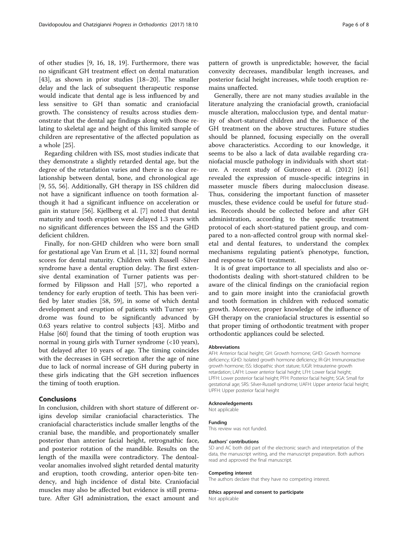of other studies [[9, 16, 18, 19\]](#page-6-0). Furthermore, there was no significant GH treatment effect on dental maturation [[43\]](#page-6-0), as shown in prior studies [[18](#page-6-0)–[20](#page-6-0)]. The smaller delay and the lack of subsequent therapeutic response would indicate that dental age is less influenced by and less sensitive to GH than somatic and craniofacial growth. The consistency of results across studies demonstrate that the dental age findings along with those relating to skeletal age and height of this limited sample of children are representative of the affected population as a whole [\[25](#page-6-0)].

Regarding children with ISS, most studies indicate that they demonstrate a slightly retarded dental age, but the degree of the retardation varies and there is no clear relationship between dental, bone, and chronological age [[9,](#page-6-0) [55](#page-7-0), [56\]](#page-7-0). Additionally, GH therapy in ISS children did not have a significant influence on tooth formation although it had a significant influence on acceleration or gain in stature [[56\]](#page-7-0). Kjellberg et al. [[7\]](#page-6-0) noted that dental maturity and tooth eruption were delayed 1.3 years with no significant differences between the ISS and the GHD deficient children.

Finally, for non-GHD children who were born small for gestational age Van Erum et al. [[11, 32](#page-6-0)] found normal scores for dental maturity. Children with Russell -Silver syndrome have a dental eruption delay. The first extensive dental examination of Turner patients was performed by Filipsson and Hall [\[57](#page-7-0)], who reported a tendency for early eruption of teeth. This has been verified by later studies [\[58, 59](#page-7-0)], in some of which dental development and eruption of patients with Turner syndrome was found to be significantly advanced by 0.63 years relative to control subjects [[43\]](#page-6-0). Mitbo and Halse [[60](#page-7-0)] found that the timing of tooth eruption was normal in young girls with Turner syndrome (<10 years), but delayed after 10 years of age. The timing coincides with the decreases in GH secretion after the age of nine due to lack of normal increase of GH during puberty in these girls indicating that the GH secretion influences the timing of tooth eruption.

# Conclusions

In conclusion, children with short stature of different origins develop similar craniofacial characteristics. The craniofacial characteristics include smaller lengths of the cranial base, the mandible, and proportionately smaller posterior than anterior facial height, retrognathic face, and posterior rotation of the mandible. Results on the length of the maxilla were contradictory. The dentoalveolar anomalies involved slight retarded dental maturity and eruption, tooth crowding, anterior open-bite tendency, and high incidence of distal bite. Craniofacial muscles may also be affected but evidence is still premature. After GH administration, the exact amount and

pattern of growth is unpredictable; however, the facial convexity decreases, mandibular length increases, and posterior facial height increases, while tooth eruption remains unaffected.

Generally, there are not many studies available in the literature analyzing the craniofacial growth, craniofacial muscle alteration, malocclusion type, and dental maturity of short-statured children and the influence of the GH treatment on the above structures. Future studies should be planned, focusing especially on the overall above characteristics. According to our knowledge, it seems to be also a lack of data available regarding craniofacial muscle pathology in individuals with short stature. A recent study of Gutroneo et al. (2012) [[61](#page-7-0)] revealed the expression of muscle-specific integrins in masseter muscle fibers during malocclusion disease. Thus, considering the important function of masseter muscles, these evidence could be useful for future studies. Records should be collected before and after GH administration, according to the specific treatment protocol of each short-statured patient group, and compared to a non-affected control group with normal skeletal and dental features, to understand the complex mechanisms regulating patient's phenotype, function, and response to GH treatment.

It is of great importance to all specialists and also orthodontists dealing with short-statured children to be aware of the clinical findings on the craniofacial region and to gain more insight into the craniofacial growth and tooth formation in children with reduced somatic growth. Moreover, proper knowledge of the influence of GH therapy on the craniofacial structures is essential so that proper timing of orthodontic treatment with proper orthodontic appliances could be selected.

#### Abbreviations

AFH: Anterior facial height; GH: Growth hormone; GHD: Growth hormone deficiency; IGHD: Isolated growth hormone deficiency; IR-GH: Immunoreactive growth hormone; ISS: Idiopathic short stature; IUGR: Intrauterine growth retardation; LAFH: Lower anterior facial height; LFH: Lower facial height; LPFH: Lower posterior facial height; PFH: Posterior facial height; SGA: Small for gestational age; SRS: Silver-Russell syndrome; UAFH: Upper anterior facial height; UPFH: Upper posterior facial height

#### Acknowledgements

Not applicable

#### Funding

This review was not funded.

#### Authors' contributions

SD and AC both did part of the electronic search and interpretation of the data, the manuscript writing, and the manuscript preparation. Both authors read and approved the final manuscript.

#### Competing interest

The authors declare that they have no competing interest.

Ethics approval and consent to participate

Not applicable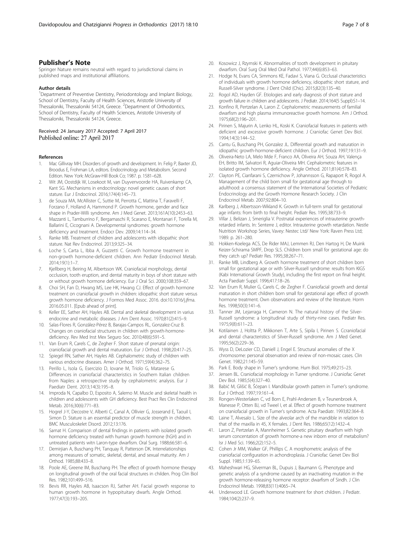# <span id="page-6-0"></span>Publisher's Note

Springer Nature remains neutral with regard to jurisdictional claims in published maps and institutional affiliations.

#### Author details

<sup>1</sup>Department of Preventive Dentistry, Periodontology and Implant Biology, School of Dentistry, Faculty of Health Sciences, Aristotle University of Thessaloniki, Thessaloniki 54124, Greece. <sup>2</sup>Department of Orthodontics, School of Dentistry, Faculty of Health Sciences, Aristotle University of Thessaloniki, Thessaloniki 54124, Greece.

# Received: 24 January 2017 Accepted: 7 April 2017

#### References

- 1. Mac Gillivray MH. Disorders of growth and development. In: Felig P, Baxter JD, Broodus E, Frohman LA, editors. Endocrinology and Metabolism. Second Edition. New York: McGraw-Hill Book Co; 1987. p. 1581–628.
- 2. Wit JM, Oostdijk W, Losekoot M, van Duyvenvoorde HA, Ruivenkamp CA, Kant SG. Mechanisms in endocrinology: novel genetic causes of short stature. Eur J Endocrinol. 2016;174(4):145–73.
- 3. de Souza MA, McAllister C, Suttie M, Perrotta C, Mattina T, Faravelli F, Forzano F, Holland A, Hammond P. Growth hormone, gender and face shape in Prader-Willi syndrome. Am J Med Genet. 2013;161A(10):2453–63.
- 4. Mazzanti L, Tamburrino F, Bergamaschi R, Scarano E, Montanari F, Torella M, Ballarini E, Cicognani A. Developmental syndromes: growth hormone deficiency and treatment. Endocr Dev. 2009;14:114–34.
- Ranke MB. Treatment of children and adolescents with idiopathic short stature. Nat Rev Endocrinol. 2013;9:325–34.
- Loche S, Carta L, Ibba A, Guzzetti C. Growth hormone treatment in non-growth hormone-deficient children. Ann Pediatr Endocrinol Metab. 2014;19(1):1–7.
- 7. Kjellberg H, Beiring M, Albertsson WK. Craniofacial morphology, dental occlusion, tooth eruption, and dental maturity in boys of short stature with or without growth hormone deficiency. Eur J Oral Sci. 2000;108:359–67.
- 8. Choi SH, Fan D, Hwang MS, Lee HK, Hwang CJ. Effect of growth hormone treatment on craniofacial growth in children: idiopathic short stature versus growth hormone deficiency. J Formos Med Assoc. 2016. doi:[10.1016/j.jfma.](http://dx.doi.org/10.1016/j.jfma.2016.05.011) [2016.05.011.](http://dx.doi.org/10.1016/j.jfma.2016.05.011) [Epub ahead of print].
- 9. Keller EE, Sather AH, Hayles AB. Dental and skeletal development in varius endocrine and metabolic diseases. J Am Dent Assoc. 1970;81(2):415–9.
- 10. Salas-Flores R, González-Pérez B, Barajas-Campos RL, Gonzalez-Cruz B. Changes on craniofacial structures in children with growth-hormonedeficiency. Rev Med Inst Mex Seguro Soc. 2010;48(6):591–5.
- 11. Van Erum R, Carels C, de Zegher F. Short stature of prenatal origin: craniofacial growth and dental maturation. Eur J Orthod. 1998;20:417–25.
- 12. Spiegel RN, Sather AH, Hayles AB. Cephalometric study of children with various endocrine diseases. Amer J Orthod. 1971;59(4):362–75.
- 13. Perillo L, Isola G, Esercizio D, Iovane M, Triolo G, Matarese G. Differences in craniofacial characteristics in Southern Italian children from Naples: a retrospective study by cephalometric analysis. Eur J Paediatr Dent. 2013;14(3):195–8.
- 14. Improda N, Capalbo D, Esposito A, Salerno M. Muscle and skeletal health in children and adolescents with GH deficiency. Best Pract Res Clin Endocrinol Metab. 2016;30(6):771–83.
- 15. Hogrel J-Y, Decostre V, Alberti C, Canal A, Ollivier G, Josserand E, Taouil I, Simon D. Stature is an essential predictor of muscle strength in children. BMC Musculoskelet Disord. 2012;13:176.
- 16. Sarnat H. Comparison of dental findings in patients with isolated growth hormone deficiency treated with human growth hormone (hGH) and in untreated patients witn Laron-type dwarfism. Oral Surg. 1988;66:581–6.
- 17. Demirjian A, Buschang PH, Tanquay R, Patterson DK. Interrelationships among measures of somatic, skeletal, dental, and sexual maturity. Am J Orthod. 1985;88:433–8.
- 18. Poole AE, Greene IM, Buschang PH. The effect of growth hormone therapy on longitudinal growth of the oral facial structures in childen. Prog Clin Biol Res. 1982;101:499–516.
- 19. Bevis RR, Hayles AB, Isaacson RJ, Sather AH. Facial growth response to human growth hormone in hypopituitary dwarfs. Angle Orthod. 1977;47(3):193–205.
- 20. Kosowicz J, Rzymski K. Abnormalities of tooth development in pituitary dwarfism. Oral Surg Oral Med Oral Pathol. 1977;44(6):853–63.
- 21. Hodge N, Evans CA, Simmons KE, Fadavi S, Viana G, Occlusal characteristics of individuals with growth hormone deficiency, idiopathic short stature, and Russell-Silver syndrome. J Dent Child (Chic). 2015;82(3):135–40.
- 22. Rogol AD, Hayden GF. Etiologies and early diagnosis of short stature and growth failure in children and adolescents. J Pediatr. 2014;164(5 Suppl):S1–14.
- 23. Konfino R, Pertzelan A, Laron Z. Cephalometric measurements of familial dwarfism and high plasma immunoreactive growth hormone. Am J Orthod. 1975;68(2):196–201.
- 24. Pirinen S, Majurin A, Lenko HL, Koski K. Craniofacial features in patients with deficient and excessive growth hormone. J Craniofac Genet Dev Biol. 1994;14(3):144–52.
- 25. Cantu G, Buschang PH, Gonzalez JL. Differential growth and maturation in idiopathic growth-hormone-deficient children. Eur J Orthod. 1997;19:131–9.
- 26. Oliveira-Neto LA, Melo Mde F, Franco AA, Oliveira AH, Souza AH, Valença EH, Britto IM, Salvatori R, Aguiar-Oliveira MH. Cephalometric features in isolated growth hormone deficiency. Angle Orthod. 2011;81(4):578–83.
- 27. Clayton PE, Cianfarani S, Czernichow P, Johannsson G, Rapaport R, Rogol A. Management of the child born small for gestational age through to adulthood: a consensus statement of the International Societies of Pediatric Endocrinology and the Growth Hormone Research Society. J Clin Endocrinol Metab. 2007;92:804–10.
- 28. Karlberg J, Albertsson-Wikland K. Growth in full-term small for gestational age infants: from birth to final height. Pediatr Res. 1995;38:733–9.
- 29. Villar J, Belizan J, Smeriglia V. Postnatal experiences of intrauterine growthretarded infants. In: Senterre J, editor. Intrauterine growth retardation. Nestle Nutrition Workshop Series, Vavey: Nestec Ltd/ New York: Raven Press Ltd; 1989. p. 261–280.
- 30. Hokken-Koelega ACS, De Rider MAJ, Lemmen RJ, Den Hartog H, De Muink Keizer-Schirama SMPF, Drop SLS. Children born small for gestational age: do they catch up? Pediatr Res. 1995;38:267–71.
- 31. Ranke MB, Lindberg A. Growth hormone treatment of short children born small for gestational age or with Silver-Russell syndrome: results from KIGS (Kabi International Growth Study), including the first report on final height. Acta Paediatr Suppl. 1996;417:18–26.
- 32. Van Erum R, Mulier G, Carels C, de Zegher F. Craniofacial growth and dental maturation in short children born small for gestational age: effect of growth hormone treatment. Own observations and review of the literature. Horm Res. 1998;50(3):141–6.
- 33. Tanner JM, Lejarraga H, Cameron N. The natural history of the Silver-Russell syndrome: a longitudinal study of thirty-nine cases. Pediatr Res. 1975;9(8):611–23.
- 34. Kotilainen J, Holtta P, Mikkonen T, Arte S, Sipila I, Pirinen S. Ccraniofacial and dental characteristics of Silver-Russell syndrome. Am J Med Genet. 1995;56(2):229–36.
- 35. Wyss D, DeLozier CD, Daniell J, Engel E. Structural anomalies of the X chromosome: personal observation and review of non-mosaic cases. Clin Genet. 1982;21:145–59.
- 36. Park E. Body shape in Turner's syndrome. Hum Biol. 1975;49:215–23.
- 37. Jensen BL. Craniofacial morphology in Turner syndrome. J Craniofac Genet Dev Biol. 1985;5(4):327–40.
- 38. Babić M, Glišić B, Šćepan I. Mandibular growth pattern in Turner's syndrome. Eur J Orthod. 1997;19:161–4.
- 39. Rongen-Westerlaken C, vd Born E, Prahl-Andersen B, v Teunenbroek A, Manesse P, Otten BJ, vd Tweel I, et al. Effect of growth hormone treatment on craniofacial growth in Turner's syndrome. Acta Paediatr. 1993;82:364–8.
- 40. Laine T, Alvesalo L. Size of the alveolar arch of the mandible in relation to that of the maxilla in 45, X females. J Dent Res. 1986;65(12):1432–4.
- 41. Laron Z, Pertzelan A, Mannheimer S. Genetic pituitary dwarfism with high serum concentation of growth hormone-a new inborn error of metabolism? Isr J Med Sci. 1966;2(2):152–5.
- 42. Cohen Jr MM, Walker GF, Phillips C. A morphometric analysis of the craniofacial configuration in achondroplasia. J Craniofac Genet Dev Biol Suppl. 1985;1:139–65.
- 43. Maheshwari HG, Silverman BL, Dupuis J, Baumann G. Phenotype and genetic analysis of a syndrome caused by an inactivating mutation in the growth hormone-releasing hormone receptor: dwarfism of Sindh. J Clin Endocrinol Metab. 1998;83(11):4065–74.
- 44. Underwood LE. Growth hormone treatment for short children. J Pediatr. 1984;104(2):237–9.